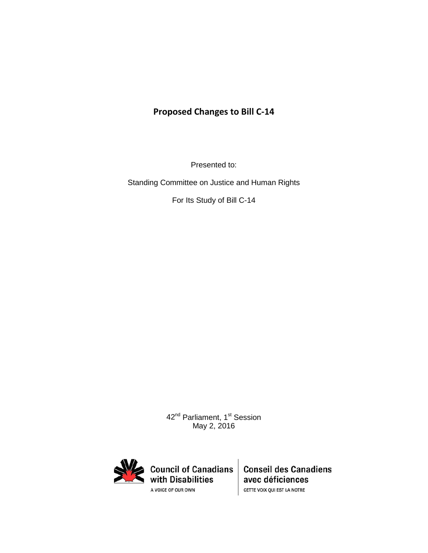# **Proposed Changes to Bill C-14**

Presented to:

Standing Committee on Justice and Human Rights

For Its Study of Bill C-14

42<sup>nd</sup> Parliament, 1<sup>st</sup> Session May 2, 2016



**Conseil des Canadiens** avec déficiences CETTE VOIX QUI EST LA NOTRE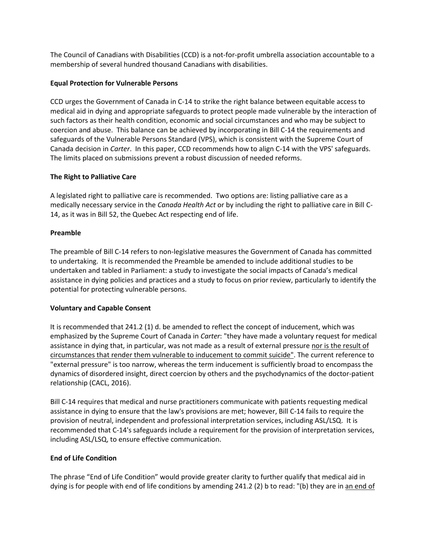The Council of Canadians with Disabilities (CCD) is a not-for-profit umbrella association accountable to a membership of several hundred thousand Canadians with disabilities.

### **Equal Protection for Vulnerable Persons**

CCD urges the Government of Canada in C-14 to strike the right balance between equitable access to medical aid in dying and appropriate safeguards to protect people made vulnerable by the interaction of such factors as their health condition, economic and social circumstances and who may be subject to coercion and abuse. This balance can be achieved by incorporating in Bill C-14 the requirements and safeguards of the Vulnerable Persons Standard (VPS), which is consistent with the Supreme Court of Canada decision in *Carter*. In this paper, CCD recommends how to align C-14 with the VPS' safeguards. The limits placed on submissions prevent a robust discussion of needed reforms.

## **The Right to Palliative Care**

A legislated right to palliative care is recommended. Two options are: listing palliative care as a medically necessary service in the *Canada Health Act* or by including the right to palliative care in Bill C-14, as it was in Bill 52, the Quebec Act respecting end of life.

#### **Preamble**

The preamble of Bill C-14 refers to non-legislative measures the Government of Canada has committed to undertaking. It is recommended the Preamble be amended to include additional studies to be undertaken and tabled in Parliament: a study to investigate the social impacts of Canada's medical assistance in dying policies and practices and a study to focus on prior review, particularly to identify the potential for protecting vulnerable persons.

#### **Voluntary and Capable Consent**

It is recommended that 241.2 (1) d. be amended to reflect the concept of inducement, which was emphasized by the Supreme Court of Canada in *Carter*: "they have made a voluntary request for medical assistance in dying that, in particular, was not made as a result of external pressure nor is the result of circumstances that render them vulnerable to inducement to commit suicide". The current reference to "external pressure" is too narrow, whereas the term inducement is sufficiently broad to encompass the dynamics of disordered insight, direct coercion by others and the psychodynamics of the doctor-patient relationship (CACL, 2016).

Bill C-14 requires that medical and nurse practitioners communicate with patients requesting medical assistance in dying to ensure that the law's provisions are met; however, Bill C-14 fails to require the provision of neutral, independent and professional interpretation services, including ASL/LSQ. It is recommended that C-14's safeguards include a requirement for the provision of interpretation services, including ASL/LSQ, to ensure effective communication.

## **End of Life Condition**

The phrase "End of Life Condition" would provide greater clarity to further qualify that medical aid in dying is for people with end of life conditions by amending 241.2 (2) b to read: "(b) they are in an end of